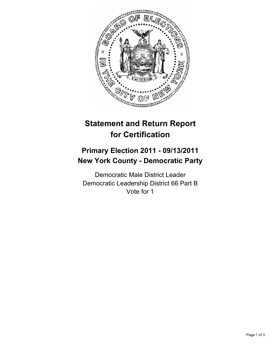

## **Statement and Return Report for Certification**

## **Primary Election 2011 - 09/13/2011 New York County - Democratic Party**

Democratic Male District Leader Democratic Leadership District 66 Part B Vote for 1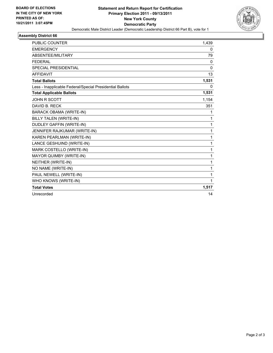

## **Assembly District 66**

| <b>PUBLIC COUNTER</b>                                    | 1,439        |
|----------------------------------------------------------|--------------|
| <b>EMERGENCY</b>                                         | 0            |
| ABSENTEE/MILITARY                                        | 79           |
| <b>FEDERAL</b>                                           | 0            |
| <b>SPECIAL PRESIDENTIAL</b>                              | 0            |
| <b>AFFIDAVIT</b>                                         | 13           |
| <b>Total Ballots</b>                                     | 1,531        |
| Less - Inapplicable Federal/Special Presidential Ballots | 0            |
| <b>Total Applicable Ballots</b>                          | 1,531        |
| <b>JOHN R SCOTT</b>                                      | 1,154        |
| DAVID B. RECK                                            | 351          |
| <b>BARACK OBAMA (WRITE-IN)</b>                           | 1            |
| <b>BILLY TALEN (WRITE-IN)</b>                            | $\mathbf{1}$ |
| <b>DUDLEY GAFFIN (WRITE-IN)</b>                          | 1            |
| JENNIFER RAJKUMAR (WRITE-IN)                             | 1            |
| KAREN PEARLMAN (WRITE-IN)                                | 1            |
| LANCE GESHUIND (WRITE-IN)                                | 1            |
| MARK COSTELLO (WRITE-IN)                                 | 1            |
| MAYOR QUIMBY (WRITE-IN)                                  | 1            |
| NEITHER (WRITE-IN)                                       | 1            |
| NO NAME (WRITE-IN)                                       | 1            |
| PAUL NEWELL (WRITE-IN)                                   | 1            |
| WHO KNOWS (WRITE-IN)                                     | 1            |
| <b>Total Votes</b>                                       | 1,517        |
| Unrecorded                                               | 14           |